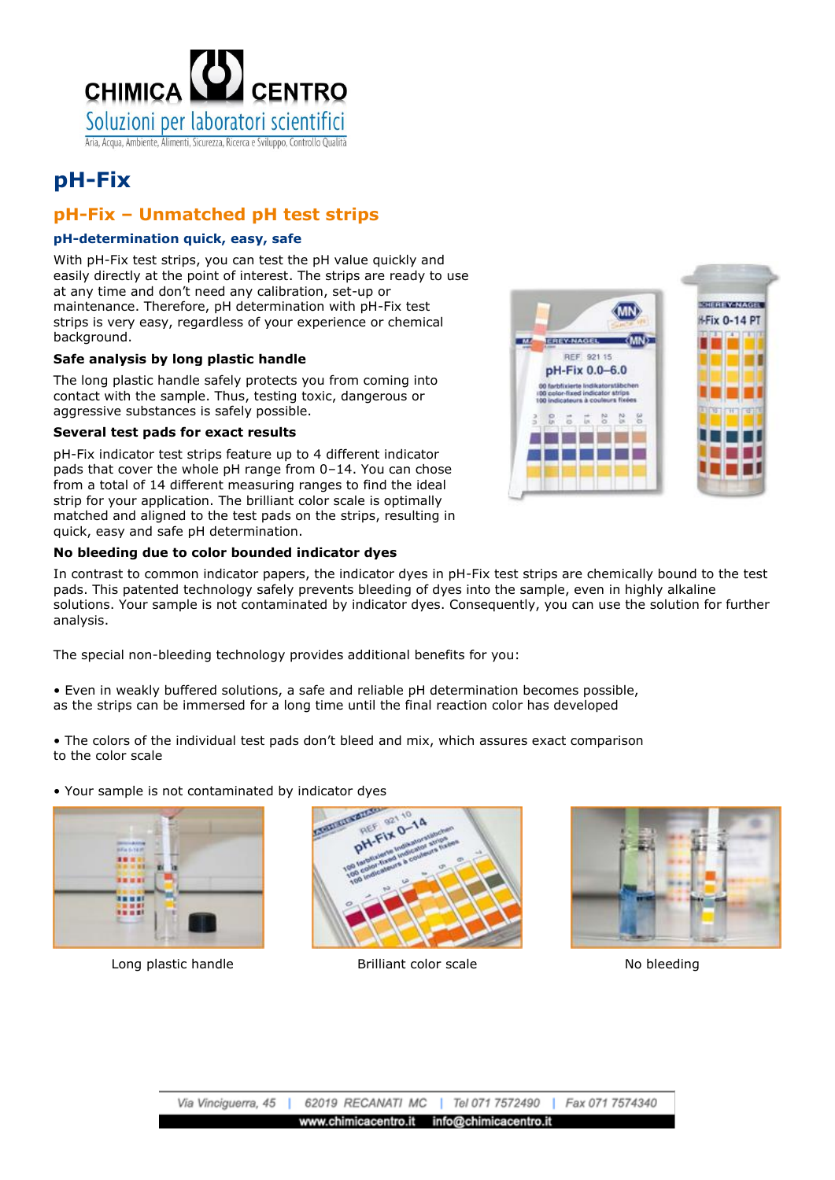

# **pH-Fix**

## **pH-Fix – Unmatched pH test strips**

### **pH-determination quick, easy, safe**

With pH-Fix test strips, you can test the pH value quickly and easily directly at the point of interest. The strips are ready to use at any time and don't need any calibration, set-up or maintenance. Therefore, pH determination with pH-Fix test strips is very easy, regardless of your experience or chemical background.

#### **Safe analysis by long plastic handle**

The long plastic handle safely protects you from coming into contact with the sample. Thus, testing toxic, dangerous or aggressive substances is safely possible.

#### **Several test pads for exact results**

pH-Fix indicator test strips feature up to 4 different indicator pads that cover the whole pH range from 0–14. You can chose from a total of 14 different measuring ranges to find the ideal strip for your application. The brilliant color scale is optimally matched and aligned to the test pads on the strips, resulting in quick, easy and safe pH determination.

#### **No bleeding due to color bounded indicator dyes**

**NUMBER OF STATES** (MN) **I-Fix 0-14 PT EREY-NAGEL**  $\overline{M}$ REF 921 15 pH-Fix 0.0-6.0 SS<sub>2</sub> P<sub>2</sub> š

In contrast to common indicator papers, the indicator dyes in pH-Fix test strips are chemically bound to the test pads. This patented technology safely prevents bleeding of dyes into the sample, even in highly alkaline solutions. Your sample is not contaminated by indicator dyes. Consequently, you can use the solution for further analysis.

The special non-bleeding technology provides additional benefits for you:

• Even in weakly buffered solutions, a safe and reliable pH determination becomes possible, as the strips can be immersed for a long time until the final reaction color has developed

• The colors of the individual test pads don't bleed and mix, which assures exact comparison to the color scale

• Your sample is not contaminated by indicator dyes



Long plastic handle The Brilliant color scale The No bleeding